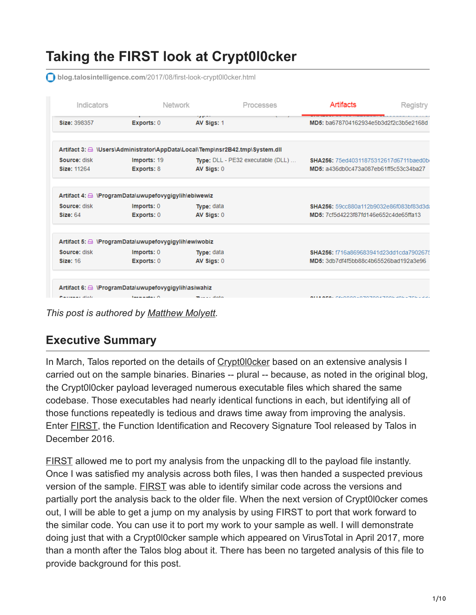# **Taking the FIRST look at Crypt0l0cker**

**blog.talosintelligence.com**[/2017/08/first-look-crypt0l0cker.html](http://blog.talosintelligence.com/2017/08/first-look-crypt0l0cker.html)

| Indicators      | Network                                                                        |                             | Processes                                          | Artifacts                                    | Registry |
|-----------------|--------------------------------------------------------------------------------|-----------------------------|----------------------------------------------------|----------------------------------------------|----------|
| Size: 398357    | Exports: 0                                                                     | $\sim$ $\sim$<br>AV Sigs: 1 |                                                    | MD5: ba678704162934e5b3d2f2c3b5e2168d        |          |
|                 | Artifact 3: 4 \Users\Administrator\AppData\Local\Temp\nsr2B42.tmp\System.dll   |                             |                                                    |                                              |          |
| Source: disk    | Imports: 19                                                                    |                             | <b>Type:</b> $DLL - PE32$ executable $(DLL) \dots$ | <b>SHA256:</b> 75ed40311875312617d6711baed0b |          |
| Size: 11264     | Exports: 8                                                                     | AV Sigs: 0                  |                                                    | MD5: a436db0c473a087eb61ff5c53c34ba27        |          |
|                 | Artifact 4: AlerogramData\uwupefovygigylih\ebiwewiz                            |                             |                                                    |                                              |          |
| Source: disk    | Imports: 0                                                                     | Type: data                  |                                                    | SHA256: 59cc880a112b9032e86f083bf83d3da      |          |
| <b>Size: 64</b> | Exports: 0                                                                     | AV Sigs: 0                  |                                                    | MD5: 7cf5d4223f87fd146e652c4de65ffa13        |          |
|                 | Artifact 5: A \ProgramData\uwupefovygigylih\ewiwobiz                           |                             |                                                    |                                              |          |
| Source: disk    | Imports: 0                                                                     | Type: data                  |                                                    | SHA256: f716a869683941d23dd1cda7902675       |          |
| <b>Size: 16</b> | Exports: 0                                                                     | AV Sigs: 0                  |                                                    | MD5: 3db7df4f5bb88c4b65526bad192a3e96        |          |
|                 |                                                                                |                             |                                                    |                                              |          |
|                 |                                                                                |                             |                                                    |                                              |          |
| Barrowan alistr | Artifact 6: A \ProgramData\uwupefovygigylih\asiwahiz<br><b>London Andrew O</b> |                             |                                                    | AS-AAAA-07070047006406-70                    |          |

*This post is authored by [Matthew Molyett](https://blogs.cisco.com/author/matthewmolyett).*

# **Executive Summary**

In March, Talos reported on the details of [Crypt0l0cker](http://blog.talosintelligence.com/2017/03/crypt0l0cker-torrentlocker-old-dog-new.html) based on an extensive analysis I carried out on the sample binaries. Binaries -- plural -- because, as noted in the original blog, the Crypt0l0cker payload leveraged numerous executable files which shared the same codebase. Those executables had nearly identical functions in each, but identifying all of those functions repeatedly is tedious and draws time away from improving the analysis. Enter [FIRST,](http://blog.talosintelligence.com/2016/12/project-first-share-knowledge-speed-up.html) the Function Identification and Recovery Signature Tool released by Talos in December 2016.

[FIRST](http://first-plugin.us/) allowed me to port my analysis from the unpacking dll to the payload file instantly. Once I was satisfied my analysis across both files, I was then handed a suspected previous version of the sample. **[FIRST](https://github.com/vrtadmin/FIRST)** was able to identify similar code across the versions and partially port the analysis back to the older file. When the next version of Crypt0l0cker comes out, I will be able to get a jump on my analysis by using FIRST to port that work forward to the similar code. You can use it to port my work to your sample as well. I will demonstrate doing just that with a Crypt0l0cker sample which appeared on VirusTotal in April 2017, more than a month after the Talos blog about it. There has been no targeted analysis of this file to provide background for this post.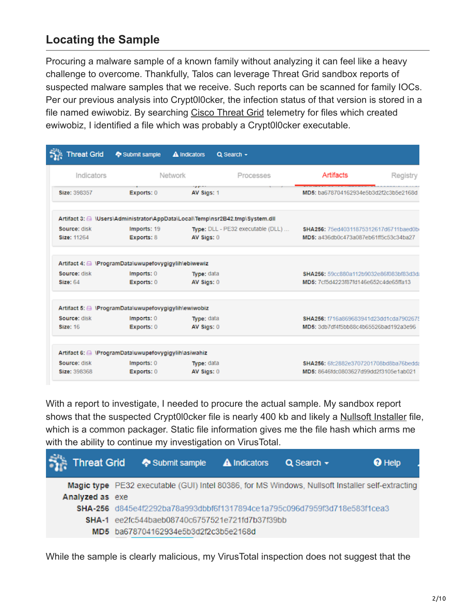#### **Locating the Sample**

Procuring a malware sample of a known family without analyzing it can feel like a heavy challenge to overcome. Thankfully, Talos can leverage Threat Grid sandbox reports of suspected malware samples that we receive. Such reports can be scanned for family IOCs. Per our previous analysis into Crypt0l0cker, the infection status of that version is stored in a file named ewiwobiz. By searching [Cisco Threat Grid](https://www.cisco.com/c/en/us/products/security/threat-grid/index.html) telemetry for files which created ewiwobiz, I identified a file which was probably a Crypt0l0cker executable.

| <b>Threat Grid</b> | Submit sample                                               | <b>A</b> Indicators<br>$Q$ Search $\sim$                                     |                                         |          |
|--------------------|-------------------------------------------------------------|------------------------------------------------------------------------------|-----------------------------------------|----------|
| Indicators         |                                                             | Network<br>Processes                                                         | Artifacts                               | Registry |
| Size: 398357       | Exports: 0                                                  | .<br>AV Sigs: 1                                                              | MD5: ba678704162934e5b3d2f2c3b5e2168d   |          |
|                    |                                                             | Artifact 3: @ \Users\Administrator\AppData\Local\Temp\nsr2B42.tmp\System.dll |                                         |          |
| Source: disk       | Imports: 19                                                 | Type: DLL - PE32 executable (DLL)                                            | SHA256: 75ed40311875312617d6711baed0b   |          |
| Size: 11264        | Exports: 8                                                  | AV Sigs: 0                                                                   | MD5: a436db0c473a087eb61ff5c53c34ba27   |          |
|                    | Artifact 4: △ \ProgramData\uwupefovygigylih\ebiwewiz        |                                                                              |                                         |          |
| Source: disk       | Imports: 0                                                  | Type: data                                                                   | SHA256: 59cc880a112b9032e86f083bf83d3d; |          |
| <b>Size: 64</b>    | Exports: 0                                                  | AV Sigs: 0                                                                   | MD5: 7cf5d4223f87fd146e652c4de65ffa13   |          |
|                    | Artifact 5: <b>△ \ProgramData\uwupefovygigylih\ewiwobiz</b> |                                                                              |                                         |          |
| Source: disk       | Imports: 0                                                  | Type: data                                                                   | SHA256: f716a869683941d23dd1cda7902675  |          |
| <b>Size: 16</b>    | Exports: 0                                                  | AV Sigs: 0                                                                   | MD5: 3db7df4f5bb88c4b65526bad192a3e96   |          |
|                    | Artifact 6: A \ProgramData\uwupefovygigylih\asiwahiz        |                                                                              |                                         |          |
| Source: disk       | Imports: 0                                                  | Type: data                                                                   | SHA256: 6fc2882e3707201708bd8ba76bedda  |          |
| Size: 398368       | Exports: 0                                                  | AV Sigs: 0                                                                   | MD5: 8646fdc0803627d99dd2f3105e1ab021   |          |

With a report to investigate, I needed to procure the actual sample. My sandbox report shows that the suspected Crypt0l0cker file is nearly 400 kb and likely a [Nullsoft Installer](https://en.wikipedia.org/wiki/Nullsoft_Scriptable_Install_System) file, which is a common packager. Static file information gives me the file hash which arms me with the ability to continue my investigation on VirusTotal.

|                 | <b>Threat Grid</b> $\bullet$ Submit sample <b>A</b> Indicators <b>Q</b> Search $\bullet$         |  | <sup>O</sup> Help |
|-----------------|--------------------------------------------------------------------------------------------------|--|-------------------|
|                 | Magic type PE32 executable (GUI) Intel 80386, for MS Windows, Nullsoft Installer self-extracting |  |                   |
| Analyzed as exe |                                                                                                  |  |                   |
|                 | SHA-256 d845e4f2292ba78a993dbbf6f1317894ce1a795c096d7959f3d718e583f1cea3                         |  |                   |
|                 | <b>SHA-1</b> ee2fc544baeb08740c6757521e721fd7b37f39bb                                            |  |                   |
|                 | MD5 ba678704162934e5b3d2f2c3b5e2168d                                                             |  |                   |

While the sample is clearly malicious, my VirusTotal inspection does not suggest that the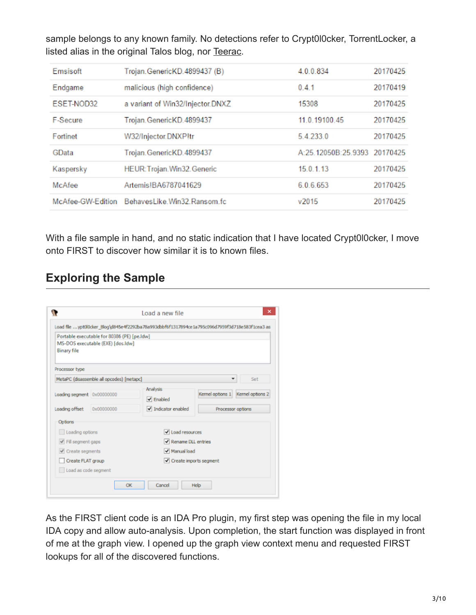sample belongs to any known family. No detections refer to Crypt0l0cker, TorrentLocker, a listed alias in the original Talos blog, nor [Teerac](https://www.bleepingcomputer.com/news/security/crypt0l0cker-ransomware-is-back-with-campaigns-targeting-europe/).

| Emsisoft   | Trojan. GenericKD. 4899437 (B)                | 4.0.0.834                    | 20170425 |
|------------|-----------------------------------------------|------------------------------|----------|
| Endgame    | malicious (high confidence)                   | 0.41                         | 20170419 |
| ESET-NOD32 | a variant of Win32/Injector.DNXZ              | 15308                        | 20170425 |
| F-Secure   | Trojan. GenericKD. 4899437                    | 11.0.19100.45                | 20170425 |
| Fortinet   | W32/Injector.DNXPItr                          | 5.4.233.0                    | 20170425 |
| GData      | Trojan. GenericKD. 4899437                    | A:25.12050B:25.9393 20170425 |          |
| Kaspersky  | HEUR: Trojan. Win32. Generic                  | 15.0.1.13                    | 20170425 |
| McAfee     | Artemis!BA6787041629                          | 6.0.6.653                    | 20170425 |
|            | McAfee-GW-Edition BehavesLike Win32 Ransom fc | v2015                        | 20170425 |

With a file sample in hand, and no static indication that I have located Crypt0l0cker, I move onto FIRST to discover how similar it is to known files.

### **Exploring the Sample**

| <b>Binary file</b>            | Portable executable for 80386 (PE) [pe.ldw]<br>MS-DOS executable (EXE) [dos.ldw] |                       |                                   |     |  |  |
|-------------------------------|----------------------------------------------------------------------------------|-----------------------|-----------------------------------|-----|--|--|
| Processor type                |                                                                                  |                       |                                   |     |  |  |
|                               | MetaPC (disassemble all opcodes) [metapc]                                        |                       |                                   | Set |  |  |
| Loading segment 0x00000000    |                                                                                  | Analysis<br>√ Enabled | Kernel options 1 Kernel options 2 |     |  |  |
| Loading offset                | 0x00000000                                                                       | Indicator enabled     | Processor options                 |     |  |  |
| <b>Options</b>                |                                                                                  |                       |                                   |     |  |  |
| Loading options               |                                                                                  | V Load resources      |                                   |     |  |  |
| $\checkmark$ Fil segment gaps |                                                                                  |                       | Rename DLL entries                |     |  |  |
| $\vee$ Create segments        |                                                                                  |                       | V Manual load                     |     |  |  |
| Create FLAT group             |                                                                                  |                       | √ Create imports segment          |     |  |  |
| Load as code segment          |                                                                                  |                       |                                   |     |  |  |

As the FIRST client code is an IDA Pro plugin, my first step was opening the file in my local IDA copy and allow auto-analysis. Upon completion, the start function was displayed in front of me at the graph view. I opened up the graph view context menu and requested FIRST lookups for all of the discovered functions.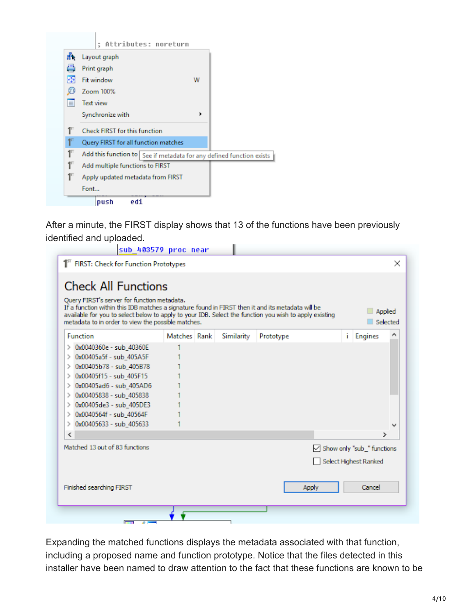

After a minute, the FIRST display shows that 13 of the functions have been previously identified and uploaded.

| <b>Check All Functions</b><br>Query FIRST's server for function metadata.<br>If a function within this IDB matches a signature found in FIRST then it and its metadata will be<br>available for you to select below to apply to your IDB. Select the function you wish to apply existing<br>metadata to in order to view the possible matches. |              |            |           |    | Applied<br>Selected               |              |
|------------------------------------------------------------------------------------------------------------------------------------------------------------------------------------------------------------------------------------------------------------------------------------------------------------------------------------------------|--------------|------------|-----------|----|-----------------------------------|--------------|
| Function                                                                                                                                                                                                                                                                                                                                       | Matches Rank | Similarity | Prototype | i. | <b>Engines</b>                    | Λ            |
| > 0x0040360e - sub_40360E                                                                                                                                                                                                                                                                                                                      |              |            |           |    |                                   |              |
| 0x00405a5f - sub_405A5F<br>⋋                                                                                                                                                                                                                                                                                                                   |              |            |           |    |                                   |              |
| 0x00405b78 - sub_405B78                                                                                                                                                                                                                                                                                                                        |              |            |           |    |                                   |              |
| 0x00405f15 - sub_405F15<br>⋗                                                                                                                                                                                                                                                                                                                   |              |            |           |    |                                   |              |
| 0x00405ad6 - sub_405AD6                                                                                                                                                                                                                                                                                                                        |              |            |           |    |                                   |              |
| 0x00405838 - sub 405838<br>⋗                                                                                                                                                                                                                                                                                                                   |              |            |           |    |                                   |              |
| 0x00405de3 - sub 405DE3                                                                                                                                                                                                                                                                                                                        |              |            |           |    |                                   |              |
| 0x0040564f - sub_40564F<br>⋋                                                                                                                                                                                                                                                                                                                   |              |            |           |    |                                   |              |
| 0x00405633 - sub_405633<br>⋋                                                                                                                                                                                                                                                                                                                   |              |            |           |    |                                   | $\checkmark$ |
| ≺                                                                                                                                                                                                                                                                                                                                              |              |            |           |    | ⋗                                 |              |
| Matched 13 out of 83 functions                                                                                                                                                                                                                                                                                                                 |              |            |           |    | $\vee$ Show only "sub " functions |              |
|                                                                                                                                                                                                                                                                                                                                                |              |            |           |    | Select Highest Ranked             |              |
|                                                                                                                                                                                                                                                                                                                                                |              |            |           |    |                                   |              |

Expanding the matched functions displays the metadata associated with that function, including a proposed name and function prototype. Notice that the files detected in this installer have been named to draw attention to the fact that these functions are known to be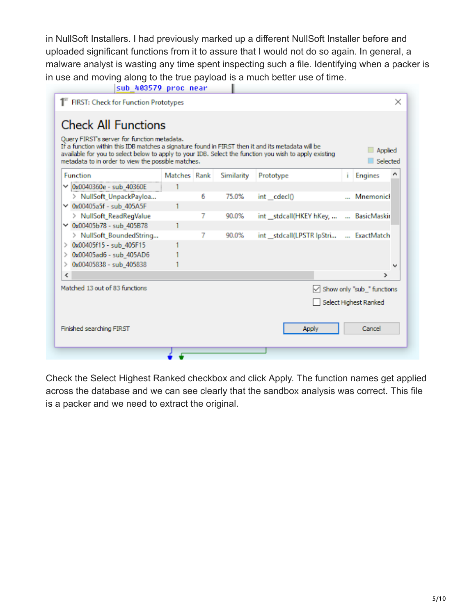in NullSoft Installers. I had previously marked up a different NullSoft Installer before and uploaded significant functions from it to assure that I would not do so again. In general, a malware analyst is wasting any time spent inspecting such a file. Identifying when a packer is in use and moving along to the true payload is a much better use of time.

| Query FIRST's server for function metadata.<br>If a function within this IDB matches a signature found in FIRST then it and its metadata will be<br>available for you to select below to apply to your IDB. Select the function you wish to apply existing<br>metadata to in order to view the possible matches. |              |   |            |                                        |    | Applied<br>Selected        |   |
|------------------------------------------------------------------------------------------------------------------------------------------------------------------------------------------------------------------------------------------------------------------------------------------------------------------|--------------|---|------------|----------------------------------------|----|----------------------------|---|
| Function                                                                                                                                                                                                                                                                                                         | Matches Rank |   | Similarity | Prototype                              | ĩ. | <b>Engines</b>             |   |
| $\vee$ 0x0040360e - sub_40360E                                                                                                                                                                                                                                                                                   |              |   |            |                                        |    |                            |   |
| > NullSoft_UnpackPayloa                                                                                                                                                                                                                                                                                          |              | 6 | 75.0%      | int _cdecl()                           |    | Mnemonicl                  |   |
| $\times$ 0x00405a5f - sub_405A5F                                                                                                                                                                                                                                                                                 |              |   |            |                                        |    |                            |   |
| > NullSoft_ReadRegValue                                                                                                                                                                                                                                                                                          |              |   | 90.0%      | int __stdcall(HKEY hKey,               |    | BasicMaskir                |   |
| $\times$ 0x00405b78 - sub 405B78                                                                                                                                                                                                                                                                                 |              |   |            |                                        |    |                            |   |
| > NullSoft BoundedString                                                                                                                                                                                                                                                                                         |              | 7 | 90.0%      | int __stdcall(LPSTR lpStri  ExactMatch |    |                            |   |
| > 0x00405f15 - sub_405F15                                                                                                                                                                                                                                                                                        |              |   |            |                                        |    |                            |   |
| $\geq$ 0x00405ad6 - sub 405AD6                                                                                                                                                                                                                                                                                   |              |   |            |                                        |    |                            |   |
| 0x00405838 - sub_405838<br>$\rightarrow$                                                                                                                                                                                                                                                                         |              |   |            |                                        |    |                            | v |
| ≺                                                                                                                                                                                                                                                                                                                |              |   |            |                                        |    | ⋗                          |   |
| Matched 13 out of 83 functions                                                                                                                                                                                                                                                                                   |              |   |            |                                        |    | Show only "sub_" functions |   |
|                                                                                                                                                                                                                                                                                                                  |              |   |            |                                        |    | Select Highest Ranked      |   |

Check the Select Highest Ranked checkbox and click Apply. The function names get applied across the database and we can see clearly that the sandbox analysis was correct. This file is a packer and we need to extract the original.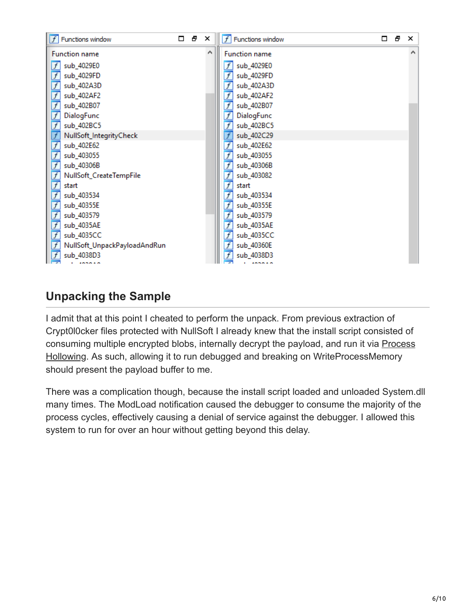| $\left\  \overline{f} \right\ $ Functions window | $\Box$ | Ð | × | $f$ Functions window         | □ | Ð | $\times$ |
|--------------------------------------------------|--------|---|---|------------------------------|---|---|----------|
| <b>Function name</b>                             |        |   | A | <b>Function name</b>         |   |   | A        |
| $\vert f \vert$<br>sub_4029E0                    |        |   |   | sub_4029E0<br>f              |   |   |          |
| $\overline{f}$<br>sub_4029FD                     |        |   |   | $\overline{f}$<br>sub_4029FD |   |   |          |
| $\overline{f}$<br>sub_402A3D                     |        |   |   | £<br>sub_402A3D              |   |   |          |
| $\overline{f}$<br>sub_402AF2                     |        |   |   | $\frac{f}{f}$<br>sub_402AF2  |   |   |          |
| $\overline{f}$<br>sub_402B07                     |        |   |   | sub_402B07                   |   |   |          |
| $\overline{f}$<br>DialogFunc                     |        |   |   | DialogFunc                   |   |   |          |
| $\overline{f}$<br>sub_402BC5                     |        |   |   | $\overline{f}$<br>sub_402BC5 |   |   |          |
| $\overline{f}$<br>NullSoft_IntegrityCheck        |        |   |   | sub_402C29<br>$\frac{f}{f}$  |   |   |          |
| $\overline{f}$<br>sub_402E62                     |        |   |   | sub_402E62                   |   |   |          |
| $\overline{f}$<br>sub_403055                     |        |   |   | sub_403055                   |   |   |          |
| $\overline{f}$<br>sub_40306B                     |        |   |   | $\overline{f}$<br>sub_40306B |   |   |          |
| $\overline{f}$<br>NullSoft_CreateTempFile        |        |   |   | $\overline{f}$<br>sub_403082 |   |   |          |
| $\overline{f}$<br>start                          |        |   |   | $\overline{f}$<br>start      |   |   |          |
| $\overline{f}$<br>sub_403534                     |        |   |   | sub_403534<br>f              |   |   |          |
| $\overline{f}$<br>sub_40355E                     |        |   |   | $\frac{f}{f}$<br>sub_40355E  |   |   |          |
| $\overline{f}$<br>sub_403579                     |        |   |   | sub_403579                   |   |   |          |
| $\overline{f}$<br>sub_4035AE                     |        |   |   | $\frac{f}{f}$<br>sub_4035AE  |   |   |          |
| $\overline{f}$<br>sub_4035CC                     |        |   |   | sub_4035CC                   |   |   |          |
| $\overline{f}$<br>NullSoft_UnpackPayloadAndRun   |        |   |   | sub_40360E                   |   |   |          |
| $\mathcal{F}$<br>sub_4038D3                      |        |   |   | $\overline{f}$<br>sub_4038D3 |   |   |          |
|                                                  |        |   |   |                              |   |   |          |

# **Unpacking the Sample**

I admit that at this point I cheated to perform the unpack. From previous extraction of Crypt0l0cker files protected with NullSoft I already knew that the install script consisted of [consuming multiple encrypted blobs, internally decrypt the payload, and run it via Process](https://www.endgame.com/blog/technical-blog/ten-process-injection-techniques-technical-survey-common-and-trending-process) Hollowing. As such, allowing it to run debugged and breaking on WriteProcessMemory should present the payload buffer to me.

There was a complication though, because the install script loaded and unloaded System.dll many times. The ModLoad notification caused the debugger to consume the majority of the process cycles, effectively causing a denial of service against the debugger. I allowed this system to run for over an hour without getting beyond this delay.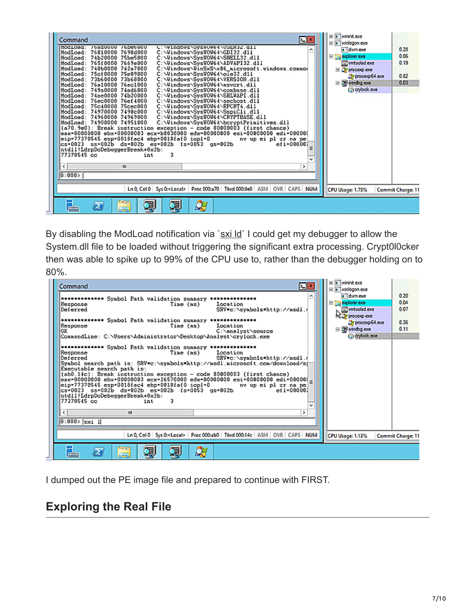| 모티<br>Command<br>noqtoaq:<br>/badUUUU /bDebUUU<br>U: \VindoVs\5VSWUVb4\U5EK3Z.dll<br>́<br>HodLoad: 76810000 7690d000<br>C:\Vindovs\SysWOV64\GDI32.dll<br>C:\Vindovs\SysW0V64\SHELL32.dll<br>HodLoad: 74b20000 75be5000<br>ModLoad: 765f0000 7669e000<br>C:\Vindovs\SysWOV64\ADVAPI32.dll<br>ModLoad: 740b0000 742a7000<br>C:\Vindovs\VinSxS\x86_nicrosoft.vindovs.connot<br>ModLoad: 75cf0000 75e09000<br>C:\Vindovs\SysVOV64\ole32.dll<br>ModLoad: 73b60000 73b68000<br>C:\Vindovs\SysWOV64\VERSION.dll<br>C:\Vindovs\SysWOV64\nsvcrt.dll<br>ModLoad: 76a10000 76ac1000<br>HodLoad: 749a0000 74ad6000<br>C:\Vindovs\SvsWOV64\coabase.dll<br>HodLoad: 74ae0000 74b20000<br>C:\Vindovs\SysWOV64\SHLVAPI.dll<br>HodLoad: 76ec0000 76ef4000<br>C:\Vindovs\SvsVOV64\sechost.dll<br>C:\Vindovs\SysWOV64\RPCRT4.dll<br>HodLoad: 75c40000 75cec000<br>HodLoad: 74970000 7498c000<br>C:\Vindovs\SysWOV64\SspiCli.dll<br>C:\Vindovs\SysWOV64\CRYPTBASE.dl1<br>HodLoad: 74960000 74969000<br>ModLoad: 74900000 74951000<br>C:\Vindovs\SysWOV64\bcryptPrimitives.dll<br>(a70.9e0): Break instruction exception - code 80000003 (first chance)<br>eax=00000000 ebx=00000003 ecx=b0830000 edx=00000000 esi=00000000 edi=00000(<br>eip=77370545 esp=0018fac4 ebp=0018faf0 iop1=0<br>nv up ei pl zr na pe<br>cs=0023 ss=002b ds=002b es=002b fs=0053 gs=002b ===<br>$et1 - 000002$<br>Ξ<br>ntdll!LdrpDoDebuggerBreak+0x2b:<br>3<br>77370545 cc<br>int<br>v<br>$\leq$<br>$\mathbf{m}$<br>><br>0:000 | El a whint exe<br>E a winlogon.exe<br>a dwm.exe<br>El <b>Capitorer.exe</b><br>will vintoolsd exe<br>El Di proceso este<br>Of procesp64.exe<br>⊟ D windbg.exe<br><b>Greylock.exe</b> | 0.28<br>0.06<br>0.19<br>0.82<br>0.03 |
|-------------------------------------------------------------------------------------------------------------------------------------------------------------------------------------------------------------------------------------------------------------------------------------------------------------------------------------------------------------------------------------------------------------------------------------------------------------------------------------------------------------------------------------------------------------------------------------------------------------------------------------------------------------------------------------------------------------------------------------------------------------------------------------------------------------------------------------------------------------------------------------------------------------------------------------------------------------------------------------------------------------------------------------------------------------------------------------------------------------------------------------------------------------------------------------------------------------------------------------------------------------------------------------------------------------------------------------------------------------------------------------------------------------------------------------------------------------------------------------|-------------------------------------------------------------------------------------------------------------------------------------------------------------------------------------|--------------------------------------|
| Ln 0, Col 0   Sys 0:< Local>   Proc 000:a70   Thrd 000:9e0   ASM   OVR   CAPS   NUM                                                                                                                                                                                                                                                                                                                                                                                                                                                                                                                                                                                                                                                                                                                                                                                                                                                                                                                                                                                                                                                                                                                                                                                                                                                                                                                                                                                                 | CPU Usage: 1.75%                                                                                                                                                                    | <b>Commit Charge: 11</b>             |
| <b>Section</b><br>Qg<br>胡<br>冨<br>$\sum$<br>÷<br>æ.                                                                                                                                                                                                                                                                                                                                                                                                                                                                                                                                                                                                                                                                                                                                                                                                                                                                                                                                                                                                                                                                                                                                                                                                                                                                                                                                                                                                                                 |                                                                                                                                                                                     |                                      |

By disabling the ModLoad notification via '[sxi ld](http://blog.opensecurityresearch.com/2013/12/getting-started-with-windbg-part-2.html)' I could get my debugger to allow the System.dll file to be loaded without triggering the significant extra processing. Crypt0l0cker then was able to spike up to 99% of the CPU use to, rather than the debugger holding on to 80%.



I dumped out the PE image file and prepared to continue with FIRST.

#### **Exploring the Real File**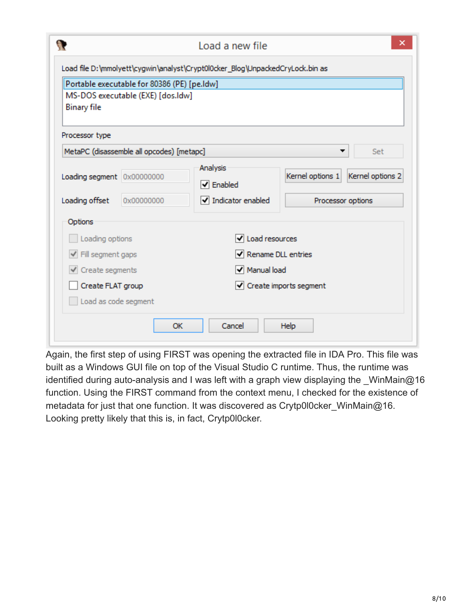| <b>Binary file</b>                                | Portable executable for 80386 (PE) [pe.ldw]<br>MS-DOS executable (EXE) [dos.ldw] |                                           |                                      |  |  |  |  |
|---------------------------------------------------|----------------------------------------------------------------------------------|-------------------------------------------|--------------------------------------|--|--|--|--|
| Processor type                                    | MetaPC (disassemble all opcodes) [metapc]                                        |                                           | Set                                  |  |  |  |  |
| Loading segment 0x00000000                        |                                                                                  | Analysis<br>$\blacktriangleright$ Enabled | Kernel options 2<br>Kernel options 1 |  |  |  |  |
| Loading offset                                    | 0x00000000                                                                       | $\blacktriangleright$ Indicator enabled   | Processor options                    |  |  |  |  |
| Options<br>Loading options                        |                                                                                  | √ Load resources                          |                                      |  |  |  |  |
| √ Fill segment gaps                               |                                                                                  |                                           | √ Rename DLL entries                 |  |  |  |  |
| $\checkmark$ Create segments<br>Create FLAT group |                                                                                  | √ Manual load<br>√ Create imports segment |                                      |  |  |  |  |

Again, the first step of using FIRST was opening the extracted file in IDA Pro. This file was built as a Windows GUI file on top of the Visual Studio C runtime. Thus, the runtime was identified during auto-analysis and I was left with a graph view displaying the WinMain@16 function. Using the FIRST command from the context menu, I checked for the existence of metadata for just that one function. It was discovered as Crytp0l0cker\_WinMain@16. Looking pretty likely that this is, in fact, Crytp0l0cker.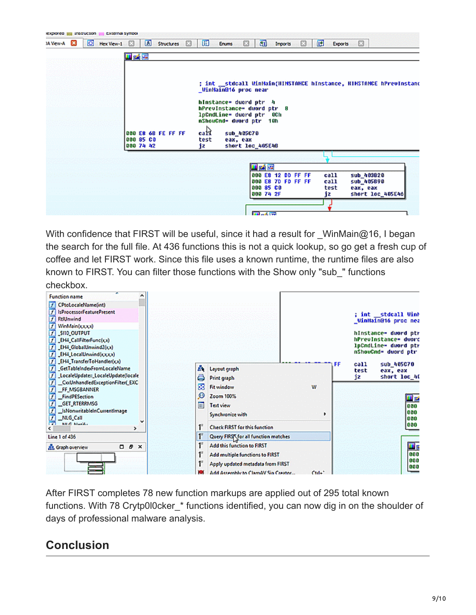

With confidence that FIRST will be useful, since it had a result for WinMain@16, I began the search for the full file. At 436 functions this is not a quick lookup, so go get a fresh cup of coffee and let FIRST work. Since this file uses a known runtime, the runtime files are also known to FIRST. You can filter those functions with the Show only "sub\_" functions checkbox.



After FIRST completes 78 new function markups are applied out of 295 total known functions. With 78 Crytp0l0cker \* functions identified, you can now dig in on the shoulder of days of professional malware analysis.

#### **Conclusion**